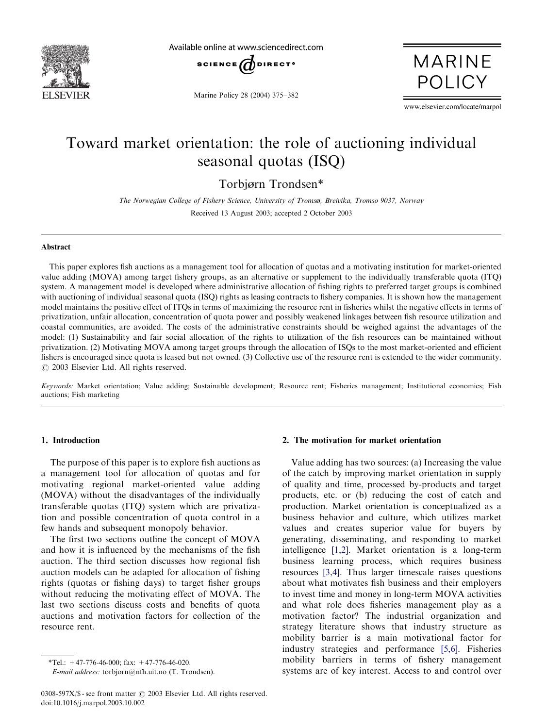

Available online at www.sciencedirect.com



Marine Policy 28 (2004) 375–382

**MARINE POLICY** 

www.elsevier.com/locate/marpol

## Toward market orientation: the role of auctioning individual seasonal quotas (ISQ)

Torbjørn Trondsen\*

The Norwegian College of Fishery Science, University of Tromsø, Breivika, Tromso 9037, Norway Received 13 August 2003; accepted 2 October 2003

#### Abstract

This paper explores fish auctions as a management tool for allocation of quotas and a motivating institution for market-oriented value adding (MOVA) among target fishery groups, as an alternative or supplement to the individually transferable quota (ITQ) system. A management model is developed where administrative allocation of fishing rights to preferred target groups is combined with auctioning of individual seasonal quota (ISQ) rights as leasing contracts to fishery companies. It is shown how the management model maintains the positive effect of ITQs in terms of maximizing the resource rent in fisheries whilst the negative effects in terms of privatization, unfair allocation, concentration of quota power and possibly weakened linkages between fish resource utilization and coastal communities, are avoided. The costs of the administrative constraints should be weighed against the advantages of the model: (1) Sustainability and fair social allocation of the rights to utilization of the fish resources can be maintained without privatization. (2) Motivating MOVA among target groups through the allocation of ISQs to the most market-oriented and efficient fishers is encouraged since quota is leased but not owned. (3) Collective use of the resource rent is extended to the wider community.  $\odot$  2003 Elsevier Ltd. All rights reserved.

Keywords: Market orientation; Value adding; Sustainable development; Resource rent; Fisheries management; Institutional economics; Fish auctions; Fish marketing

### 1. Introduction

The purpose of this paper is to explore fish auctions as a management tool for allocation of quotas and for motivating regional market-oriented value adding (MOVA) without the disadvantages of the individually transferable quotas (ITQ) system which are privatization and possible concentration of quota control in a few hands and subsequent monopoly behavior.

The first two sections outline the concept of MOVA and how it is influenced by the mechanisms of the fish auction. The third section discusses how regional fish auction models can be adapted for allocation of fishing rights (quotas or fishing days) to target fisher groups without reducing the motivating effect of MOVA. The last two sections discuss costs and benefits of quota auctions and motivation factors for collection of the resource rent.

### 2. The motivation for market orientation

Value adding has two sources: (a) Increasing the value of the catch by improving market orientation in supply of quality and time, processed by-products and target products, etc. or (b) reducing the cost of catch and production. Market orientation is conceptualized as a business behavior and culture, which utilizes market values and creates superior value for buyers by generating, disseminating, and responding to market intelligence [\[1,2\].](#page--1-0) Market orientation is a long-term business learning process, which requires business resources [\[3,4\]](#page--1-0). Thus larger timescale raises questions about what motivates fish business and their employers to invest time and money in long-term MOVA activities and what role does fisheries management play as a motivation factor? The industrial organization and strategy literature shows that industry structure as mobility barrier is a main motivational factor for industry strategies and performance [\[5,6\]](#page--1-0). Fisheries mobility barriers in terms of fishery management systems are of key interest. Access to and control over

<sup>\*</sup>Tel.:  $+47-776-46-000$ ; fax:  $+47-776-46-020$ .

E-mail address: torbjorn@nfh.uit.no (T. Trondsen).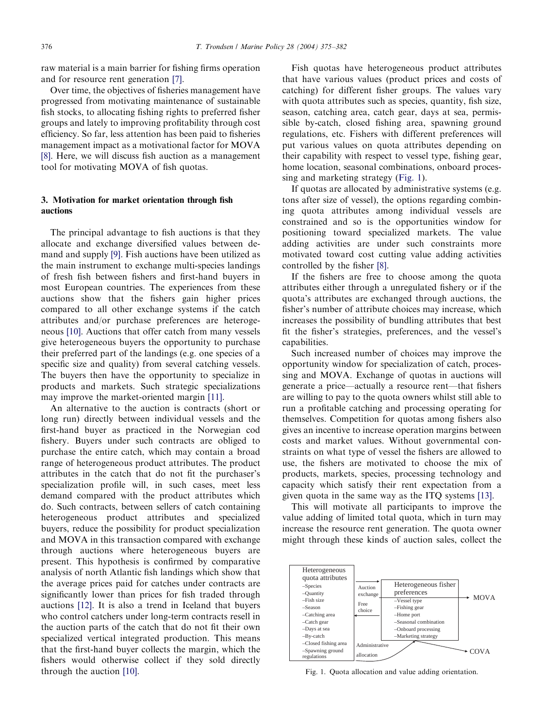raw material is a main barrier for fishing firms operation and for resource rent generation [\[7\]](#page--1-0).

Over time, the objectives of fisheries management have progressed from motivating maintenance of sustainable fish stocks, to allocating fishing rights to preferred fisher groups and lately to improving profitability through cost efficiency. So far, less attention has been paid to fisheries management impact as a motivational factor for MOVA [\[8\]](#page--1-0). Here, we will discuss fish auction as a management tool for motivating MOVA of fish quotas.

### 3. Motivation for market orientation through fish auctions

The principal advantage to fish auctions is that they allocate and exchange diversified values between demand and supply [\[9\]](#page--1-0). Fish auctions have been utilized as the main instrument to exchange multi-species landings of fresh fish between fishers and first-hand buyers in most European countries. The experiences from these auctions show that the fishers gain higher prices compared to all other exchange systems if the catch attributes and/or purchase preferences are heterogeneous [\[10\]](#page--1-0). Auctions that offer catch from many vessels give heterogeneous buyers the opportunity to purchase their preferred part of the landings (e.g. one species of a specific size and quality) from several catching vessels. The buyers then have the opportunity to specialize in products and markets. Such strategic specializations may improve the market-oriented margin [\[11\]](#page--1-0).

An alternative to the auction is contracts (short or long run) directly between individual vessels and the first-hand buyer as practiced in the Norwegian cod fishery. Buyers under such contracts are obliged to purchase the entire catch, which may contain a broad range of heterogeneous product attributes. The product attributes in the catch that do not fit the purchaser's specialization profile will, in such cases, meet less demand compared with the product attributes which do. Such contracts, between sellers of catch containing heterogeneous product attributes and specialized buyers, reduce the possibility for product specialization and MOVA in this transaction compared with exchange through auctions where heterogeneous buyers are present. This hypothesis is confirmed by comparative analysis of north Atlantic fish landings which show that the average prices paid for catches under contracts are significantly lower than prices for fish traded through auctions [\[12\]](#page--1-0). It is also a trend in Iceland that buyers who control catchers under long-term contracts resell in the auction parts of the catch that do not fit their own specialized vertical integrated production. This means that the first-hand buyer collects the margin, which the fishers would otherwise collect if they sold directly through the auction [\[10\]](#page--1-0).

Fish quotas have heterogeneous product attributes that have various values (product prices and costs of catching) for different fisher groups. The values vary with quota attributes such as species, quantity, fish size, season, catching area, catch gear, days at sea, permissible by-catch, closed fishing area, spawning ground regulations, etc. Fishers with different preferences will put various values on quota attributes depending on their capability with respect to vessel type, fishing gear, home location, seasonal combinations, onboard processing and marketing strategy (Fig. 1).

If quotas are allocated by administrative systems (e.g. tons after size of vessel), the options regarding combining quota attributes among individual vessels are constrained and so is the opportunities window for positioning toward specialized markets. The value adding activities are under such constraints more motivated toward cost cutting value adding activities controlled by the fisher [\[8\].](#page--1-0)

If the fishers are free to choose among the quota attributes either through a unregulated fishery or if the quota's attributes are exchanged through auctions, the fisher's number of attribute choices may increase, which increases the possibility of bundling attributes that best fit the fisher's strategies, preferences, and the vessel's capabilities.

Such increased number of choices may improve the opportunity window for specialization of catch, processing and MOVA. Exchange of quotas in auctions will generate a price—actually a resource rent—that fishers are willing to pay to the quota owners whilst still able to run a profitable catching and processing operating for themselves. Competition for quotas among fishers also gives an incentive to increase operation margins between costs and market values. Without governmental constraints on what type of vessel the fishers are allowed to use, the fishers are motivated to choose the mix of products, markets, species, processing technology and capacity which satisfy their rent expectation from a given quota in the same way as the ITQ systems [\[13\].](#page--1-0)

This will motivate all participants to improve the value adding of limited total quota, which in turn may increase the resource rent generation. The quota owner might through these kinds of auction sales, collect the



Fig. 1. Quota allocation and value adding orientation.